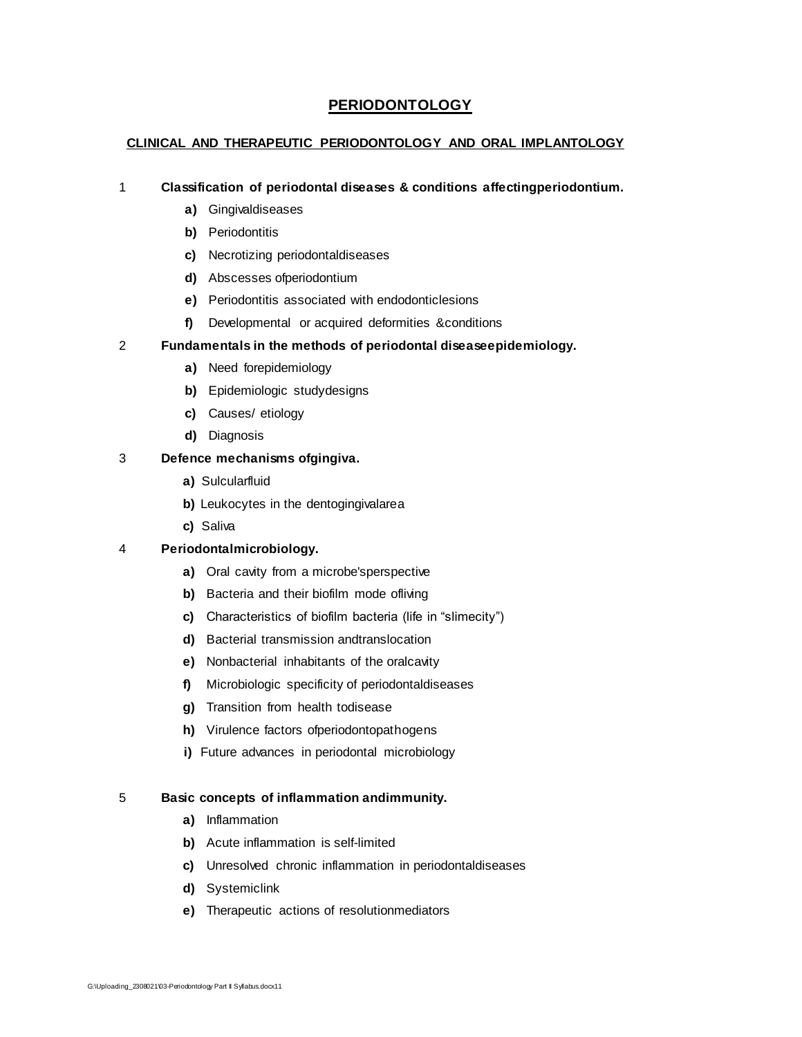# **PERIODONTOLOGY**

#### **CLINICAL AND THERAPEUTIC PERIODONTOLOGY AND ORAL IMPLANTOLOGY**

#### 1 **Classification of periodontal diseases & conditions affectingperiodontium.**

- **a)** Gingivaldiseases
- **b)** Periodontitis
- **c)** Necrotizing periodontaldiseases
- **d)** Abscesses ofperiodontium
- **e)** Periodontitis associated with endodonticlesions
- **f)** Developmental or acquired deformities &conditions

#### 2 **Fundamentals in the methods of periodontal diseaseepidemiology.**

- **a)** Need forepidemiology
- **b)** Epidemiologic studydesigns
- **c)** Causes/ etiology
- **d)** Diagnosis

#### 3 **Defence mechanisms ofgingiva.**

- **a)** Sulcularfluid
- **b)** Leukocytes in the dentogingivalarea
- **c)** Saliva

#### 4 **Periodontalmicrobiology.**

- **a)** Oral cavity from a microbe'sperspective
- **b)** Bacteria and their biofilm mode ofliving
- **c)** Characteristics of biofilm bacteria (life in "slimecity")
- **d)** Bacterial transmission andtranslocation
- **e)** Nonbacterial inhabitants of the oralcavity
- **f)** Microbiologic specificity of periodontaldiseases
- **g)** Transition from health todisease
- **h)** Virulence factors ofperiodontopathogens
- **i)** Future advances in periodontal microbiology

#### 5 **Basic concepts of inflammation andimmunity.**

- **a)** Inflammation
- **b)** Acute inflammation is self-limited
- **c)** Unresolved chronic inflammation in periodontaldiseases
- **d)** Systemiclink
- **e)** Therapeutic actions of resolutionmediators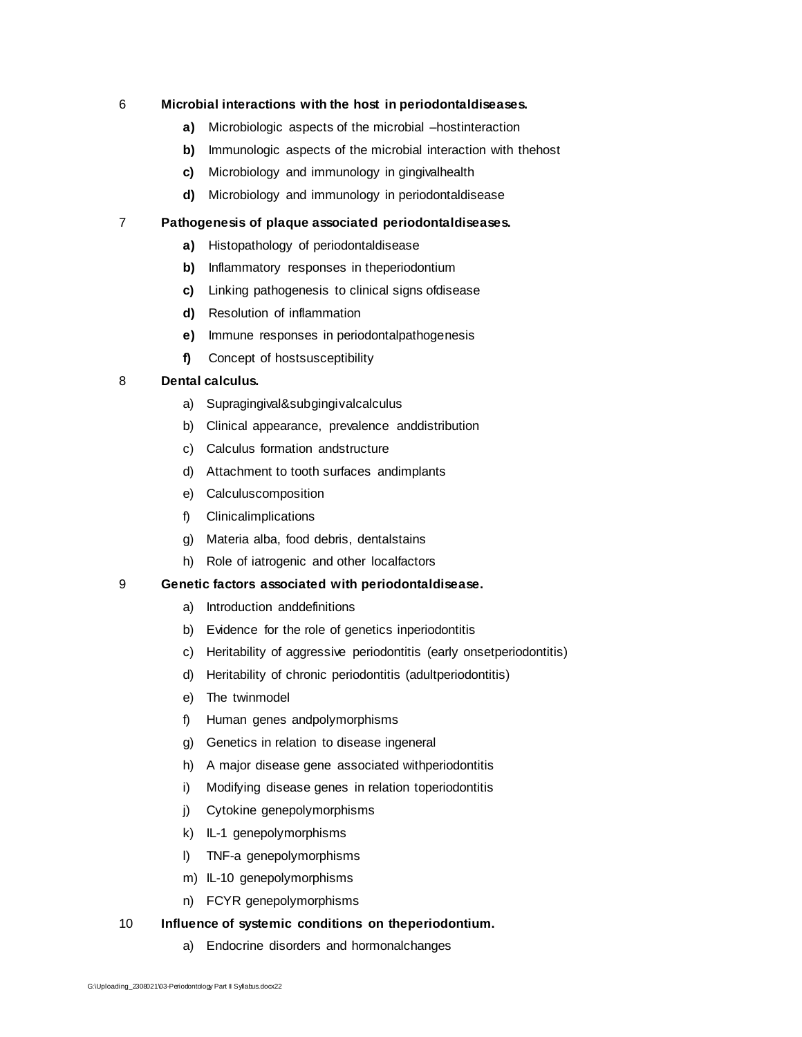#### 6 **Microbial interactions with the host in periodontaldiseases.**

- **a)** Microbiologic aspects of the microbial –hostinteraction
- **b)** Immunologic aspects of the microbial interaction with thehost
- **c)** Microbiology and immunology in gingivalhealth
- **d)** Microbiology and immunology in periodontaldisease

#### 7 **Pathogenesis of plaque associated periodontaldiseases.**

- **a)** Histopathology of periodontaldisease
- **b)** Inflammatory responses in theperiodontium
- **c)** Linking pathogenesis to clinical signs ofdisease
- **d)** Resolution of inflammation
- **e)** Immune responses in periodontalpathogenesis
- **f)** Concept of hostsusceptibility

#### 8 **Dental calculus.**

- a) Supragingival&subgingivalcalculus
- b) Clinical appearance, prevalence anddistribution
- c) Calculus formation andstructure
- d) Attachment to tooth surfaces andimplants
- e) Calculuscomposition
- f) Clinicalimplications
- g) Materia alba, food debris, dentalstains
- h) Role of iatrogenic and other localfactors

#### 9 **Genetic factors associated with periodontaldisease.**

- a) Introduction anddefinitions
- b) Evidence for the role of genetics inperiodontitis
- c) Heritability of aggressive periodontitis (early onsetperiodontitis)
- d) Heritability of chronic periodontitis (adultperiodontitis)
- e) The twinmodel
- f) Human genes andpolymorphisms
- g) Genetics in relation to disease ingeneral
- h) A major disease gene associated withperiodontitis
- i) Modifying disease genes in relation toperiodontitis
- j) Cytokine genepolymorphisms
- k) IL-1 genepolymorphisms
- l) TNF-a genepolymorphisms
- m) IL-10 genepolymorphisms
- n) FCYR genepolymorphisms

#### 10 **Influence of systemic conditions on theperiodontium.**

a) Endocrine disorders and hormonalchanges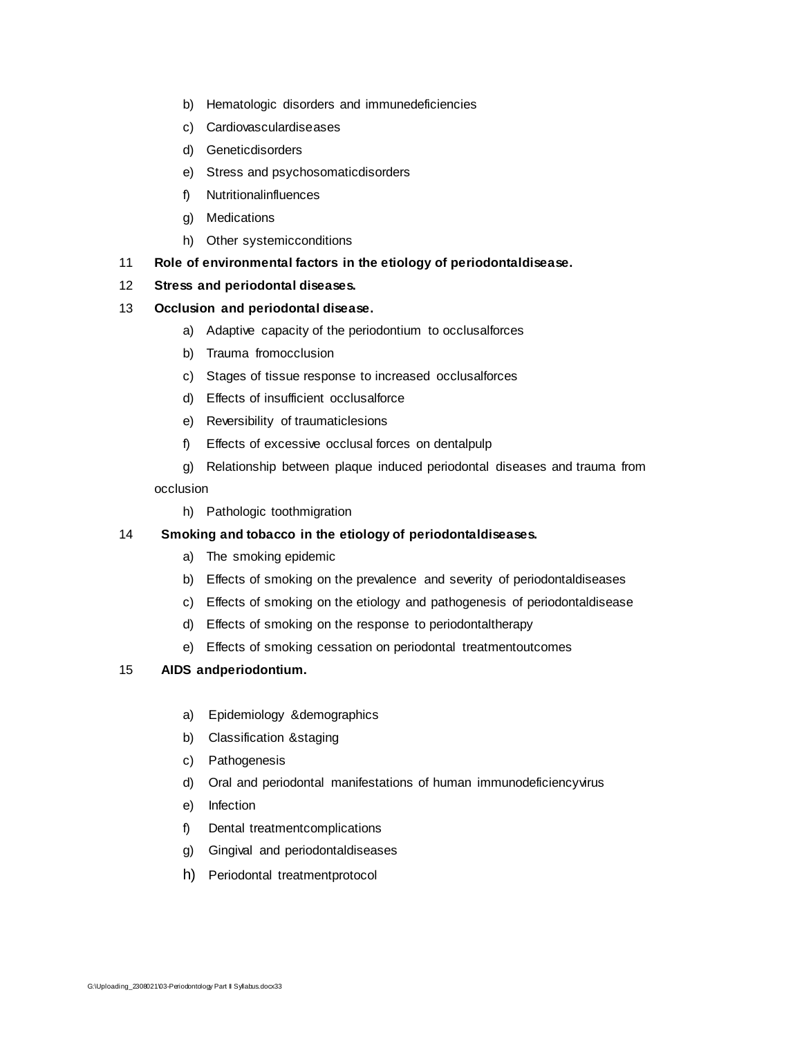- b) Hematologic disorders and immunedeficiencies
- c) Cardiovasculardiseases
- d) Geneticdisorders
- e) Stress and psychosomaticdisorders
- f) Nutritionalinfluences
- g) Medications
- h) Other systemicconditions

#### 11 **Role of environmental factors in the etiology of periodontaldisease.**

#### 12 **Stress and periodontal diseases.**

#### 13 **Occlusion and periodontal disease.**

- a) Adaptive capacity of the periodontium to occlusalforces
- b) Trauma fromocclusion
- c) Stages of tissue response to increased occlusalforces
- d) Effects of insufficient occlusalforce
- e) Reversibility of traumaticlesions
- f) Effects of excessive occlusal forces on dentalpulp
- g) Relationship between plaque induced periodontal diseases and trauma from occlusion
	- h) Pathologic toothmigration

#### 14 **Smoking and tobacco in the etiology of periodontaldiseases.**

- a) The smoking epidemic
- b) Effects of smoking on the prevalence and severity of periodontaldiseases
- c) Effects of smoking on the etiology and pathogenesis of periodontaldisease
- d) Effects of smoking on the response to periodontaltherapy
- e) Effects of smoking cessation on periodontal treatmentoutcomes

#### 15 **AIDS andperiodontium.**

- a) Epidemiology &demographics
- b) Classification &staging
- c) Pathogenesis
- d) Oral and periodontal manifestations of human immunodeficiencyvirus
- e) Infection
- f) Dental treatmentcomplications
- g) Gingival and periodontaldiseases
- h) Periodontal treatmentprotocol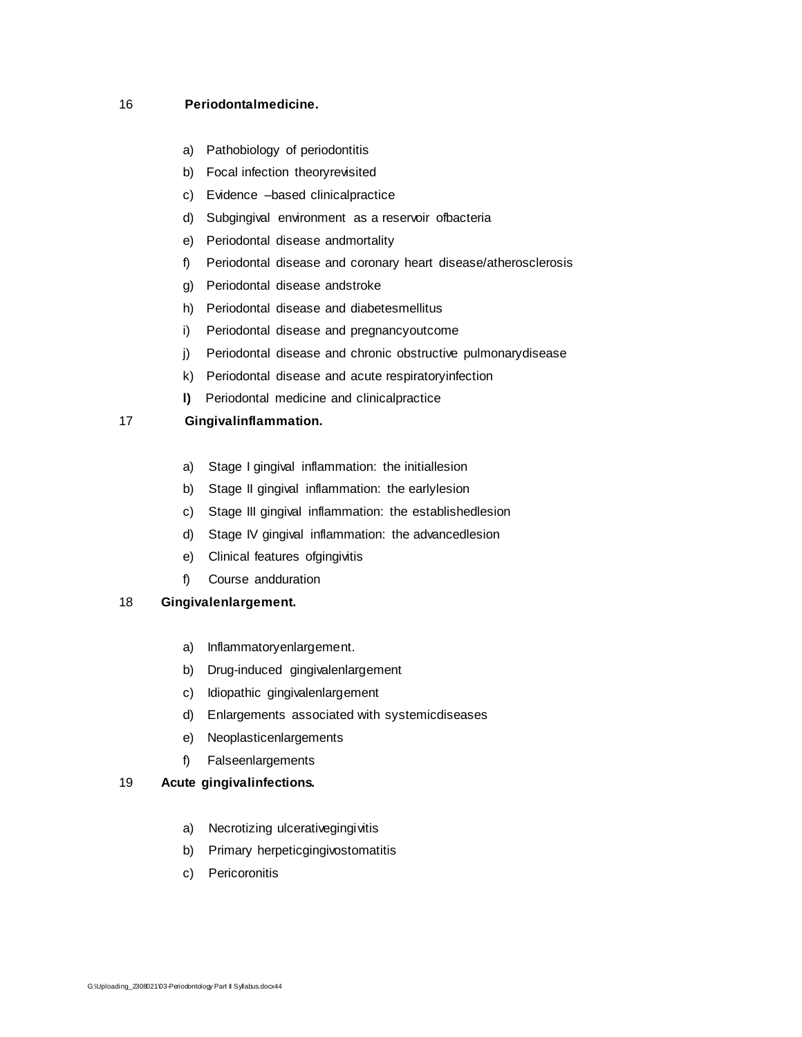## 16 **Periodontalmedicine.**

- a) Pathobiology of periodontitis
- b) Focal infection theoryrevisited
- c) Evidence –based clinicalpractice
- d) Subgingival environment as a reservoir ofbacteria
- e) Periodontal disease andmortality
- f) Periodontal disease and coronary heart disease/atherosclerosis
- g) Periodontal disease andstroke
- 
- 
- h) Periodontal disease and diabetesmellitus
- 
- i) Periodontal disease and pregnancyoutcome
- j) Periodontal disease and chronic obstructive pulmonarydisease
- k) Periodontal disease and acute respiratoryinfection
- **l)** Periodontal medicine and clinicalpractice

# 17 **Gingivalinflammation.**

G:\Uploading\_2308021\03-Periodontology Part II Syllabus.docx44

- 
- 

e) Clinical features ofgingivitis

a) Inflammatoryenlargement.

e) Neoplasticenlargements

a) Necrotizing ulcerativegingivitis b) Primary herpeticgingivostomatitis

f) Falseenlargements

19 **Acute gingivalinfections.**

c) Pericoronitis

b) Drug-induced gingivalenlargement c) Idiopathic gingivalenlargement

f) Course andduration

18 **Gingivalenlargement.**

- a) Stage I gingival inflammation: the initiallesion
- b) Stage II gingival inflammation: the earlylesion
- c) Stage III gingival inflammation: the establishedlesion
- 
- 
- 
- 
- 
- 
- 
- 
- 
- 
- 
- 
- 
- 
- 
- d) Stage IV gingival inflammation: the advancedlesion
- 
- 
- 
- 

d) Enlargements associated with systemicdiseases

- 
- 
-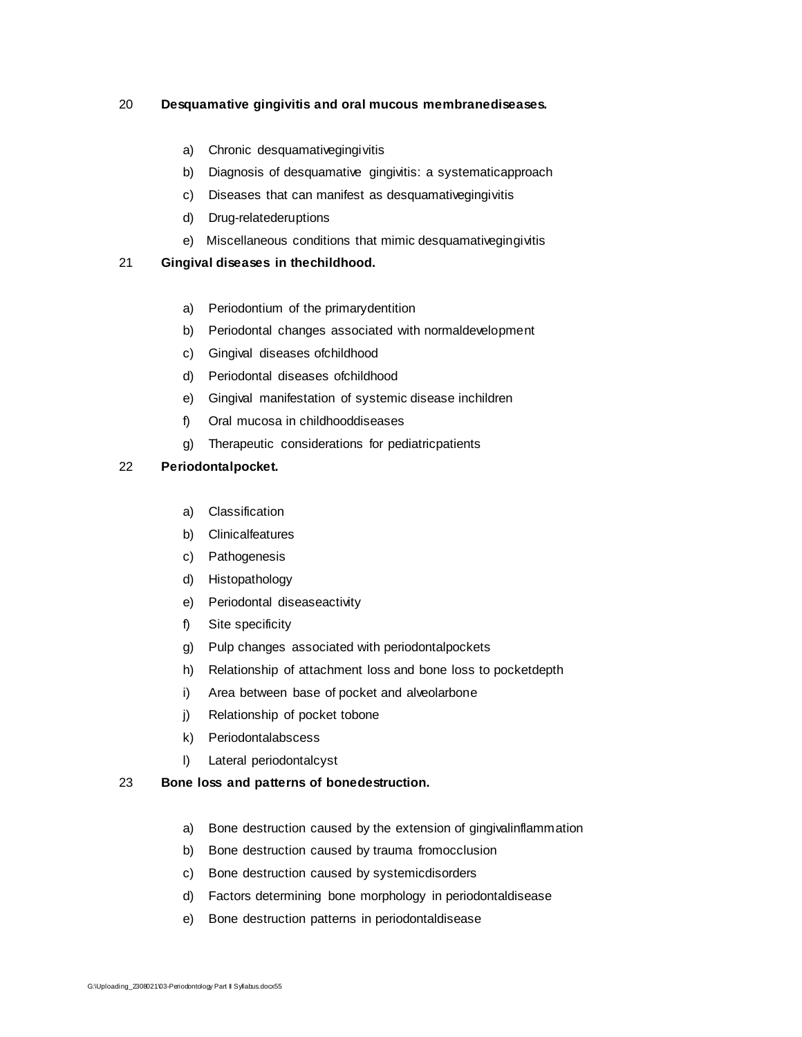## 20 **Desquamative gingivitis and oral mucous membranediseases.**

# a) Chronic desquamativegingivitis

c) Diseases that can manifest as desquamativegingivitis

b) Diagnosis of desquamative gingivitis: a systematicapproach

e) Miscellaneous conditions that mimic desquamativegingivitis

b) Periodontal changes associated with normaldevelopment

e) Gingival manifestation of systemic disease inchildren

g) Therapeutic considerations for pediatricpatients

a) Periodontium of the primarydentition

c) Gingival diseases ofchildhood d) Periodontal diseases ofchildhood

f) Oral mucosa in childhooddiseases

d) Drug-relatederuptions

21 **Gingival diseases in thechildhood.**

22 **Periodontalpocket.**

a) Classification b) Clinicalfeatures c) Pathogenesis d) Histopathology

f) Site specificity

# l) Lateral periodontalcyst

k) Periodontalabscess

j) Relationship of pocket tobone

e) Periodontal diseaseactivity

# 23 **Bone loss and patterns of bonedestruction.**

- a) Bone destruction caused by the extension of gingivalinflammation
- b) Bone destruction caused by trauma fromocclusion

g) Pulp changes associated with periodontalpockets

i) Area between base of pocket and alveolarbone

h) Relationship of attachment loss and bone loss to pocketdepth

- c) Bone destruction caused by systemicdisorders
- d) Factors determining bone morphology in periodontaldisease
- e) Bone destruction patterns in periodontaldisease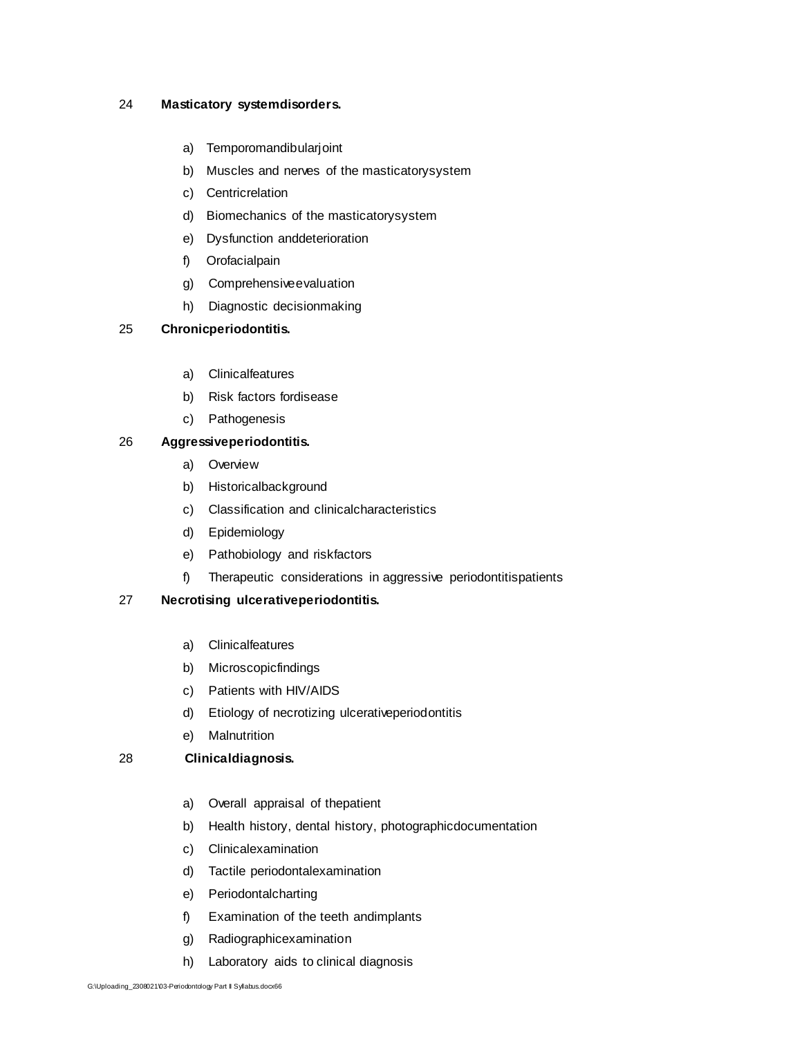#### 24 **Masticatory systemdisorders.**

- a) Temporomandibularjoint
- b) Muscles and nerves of the masticatorysystem
- c) Centricrelation
- d) Biomechanics of the masticatorysystem
- e) Dysfunction anddeterioration
- f) Orofacialpain
- g) Comprehensiveevaluation
- h) Diagnostic decisionmaking

#### 25 **Chronicperiodontitis.**

- a) Clinicalfeatures
- b) Risk factors fordisease
- c) Pathogenesis

#### 26 **Aggressiveperiodontitis.**

- a) Overview
- b) Historicalbackground
- c) Classification and clinicalcharacteristics
- d) Epidemiology
- e) Pathobiology and riskfactors
- f) Therapeutic considerations in aggressive periodontitispatients

#### 27 **Necrotising ulcerativeperiodontitis.**

- a) Clinicalfeatures
- b) Microscopicfindings
- c) Patients with HIV/AIDS
- d) Etiology of necrotizing ulcerativeperiodontitis
- e) Malnutrition

#### 28 **Clinicaldiagnosis.**

- a) Overall appraisal of thepatient
- b) Health history, dental history, photographicdocumentation
- c) Clinicalexamination
- d) Tactile periodontalexamination
- e) Periodontalcharting
- f) Examination of the teeth andimplants
- g) Radiographicexamination
- h) Laboratory aids to clinical diagnosis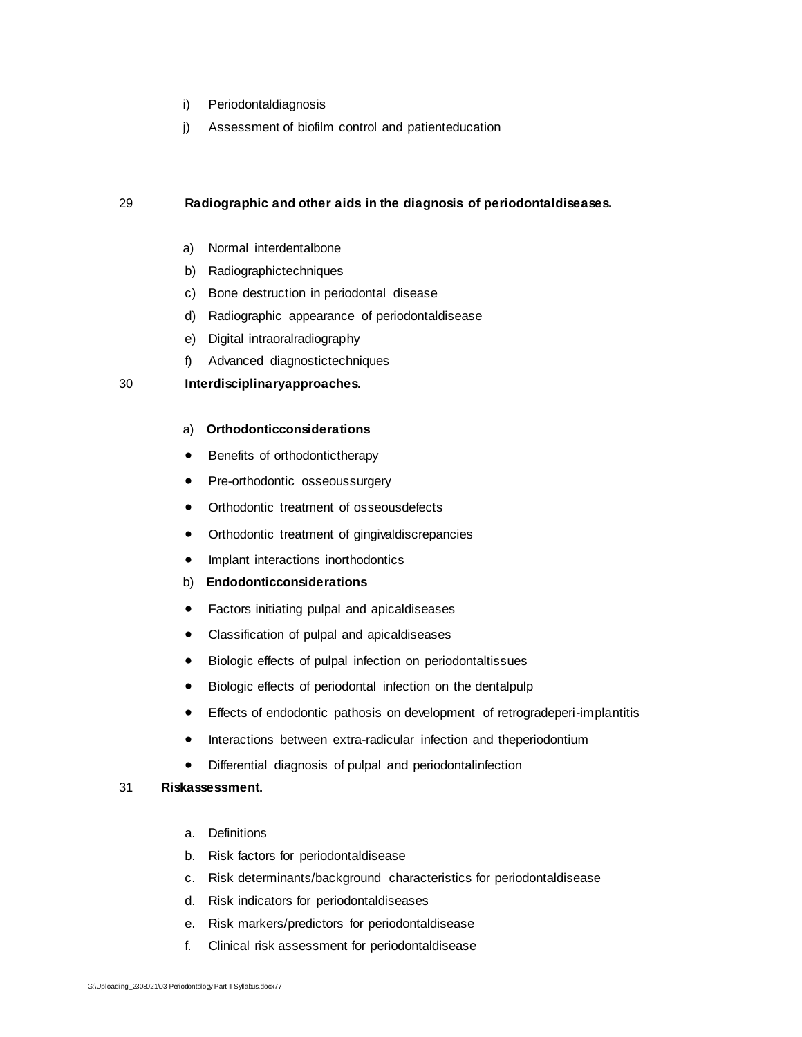- i) Periodontaldiagnosis
- j) Assessment of biofilm control and patienteducation

#### 29 **Radiographic and other aids in the diagnosis of periodontaldiseases.**

- a) Normal interdentalbone
- b) Radiographictechniques
- c) Bone destruction in periodontal disease
- d) Radiographic appearance of periodontaldisease
- e) Digital intraoralradiography
- f) Advanced diagnostictechniques

#### 30 **Interdisciplinaryapproaches.**

#### a) **Orthodonticconsiderations**

- Benefits of orthodontictherapy
- Pre-orthodontic osseoussurgery
- Orthodontic treatment of osseousdefects
- Orthodontic treatment of gingivaldiscrepancies
- Implant interactions inorthodontics

#### b) **Endodonticconsiderations**

- Factors initiating pulpal and apicaldiseases
- Classification of pulpal and apicaldiseases
- Biologic effects of pulpal infection on periodontaltissues
- Biologic effects of periodontal infection on the dentalpulp
- Effects of endodontic pathosis on development of retrogradeperi-implantitis
- Interactions between extra-radicular infection and theperiodontium
- Differential diagnosis of pulpal and periodontalinfection

#### 31 **Riskassessment.**

- a. Definitions
- b. Risk factors for periodontaldisease
- c. Risk determinants/background characteristics for periodontaldisease
- d. Risk indicators for periodontaldiseases
- e. Risk markers/predictors for periodontaldisease
- f. Clinical risk assessment for periodontaldisease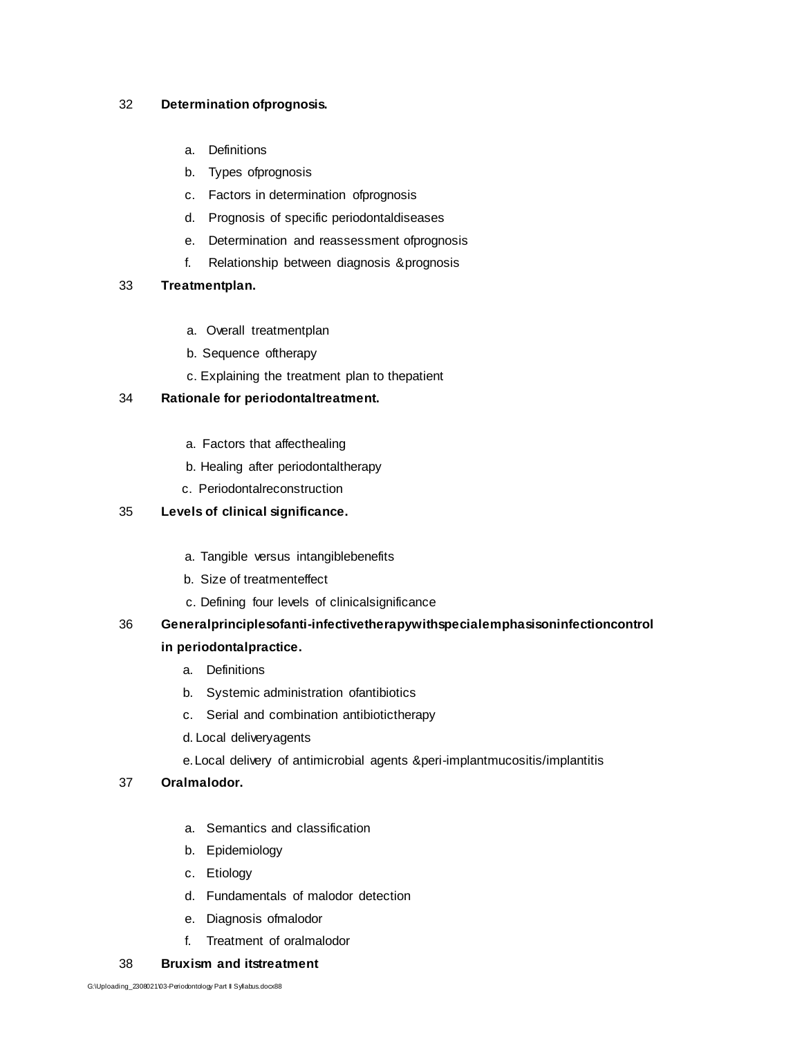#### 32 **Determination ofprognosis.**

- a. Definitions
- b. Types ofprognosis
- c. Factors in determination ofprognosis
- d. Prognosis of specific periodontaldiseases
- e. Determination and reassessment ofprognosis
- f. Relationship between diagnosis &prognosis

#### 33 **Treatmentplan.**

- a. Overall treatmentplan
- b. Sequence oftherapy
- c. Explaining the treatment plan to thepatient

#### 34 **Rationale for periodontaltreatment.**

- a. Factors that affecthealing
- b. Healing after periodontaltherapy
- c. Periodontalreconstruction

#### 35 **Levels of clinical significance.**

- a. Tangible versus intangiblebenefits
- b. Size of treatmenteffect
- c. Defining four levels of clinicalsignificance

# 36 **Generalprinciplesofanti-infectivetherapywithspecialemphasisoninfectioncontrol in periodontalpractice.**

- a. Definitions
- b. Systemic administration ofantibiotics
- c. Serial and combination antibiotictherapy
- d. Local deliveryagents
- e.Local delivery of antimicrobial agents &peri-implantmucositis/implantitis

#### 37 **Oralmalodor.**

- a. Semantics and classification
- b. Epidemiology
- c. Etiology
- d. Fundamentals of malodor detection
- e. Diagnosis ofmalodor
- f. Treatment of oralmalodor

#### 38 **Bruxism and itstreatment**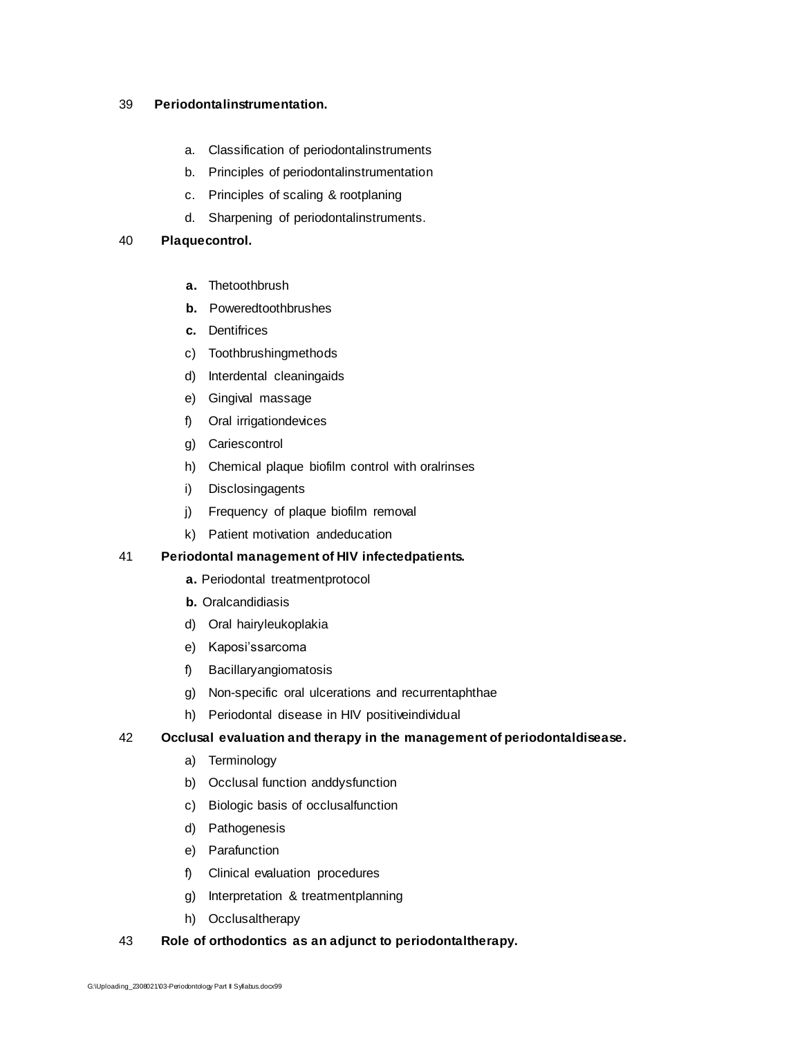#### 39 **Periodontalinstrumentation.**

- a. Classification of periodontalinstruments
- b. Principles of periodontalinstrumentation
- c. Principles of scaling & rootplaning
- d. Sharpening of periodontalinstruments.

#### 40 **Plaquecontrol.**

- **a.** Thetoothbrush
- **b.** Poweredtoothbrushes
- **c.** Dentifrices
- c) Toothbrushingmethods
- d) Interdental cleaningaids
- e) Gingival massage
- f) Oral irrigationdevices
- g) Cariescontrol
- h) Chemical plaque biofilm control with oralrinses
- i) Disclosingagents
- j) Frequency of plaque biofilm removal
- k) Patient motivation andeducation

#### 41 **Periodontal management of HIV infectedpatients.**

- **a.** Periodontal treatmentprotocol
- **b.** Oralcandidiasis
- d) Oral hairyleukoplakia
- e) Kaposi'ssarcoma
- f) Bacillaryangiomatosis
- g) Non-specific oral ulcerations and recurrentaphthae
- h) Periodontal disease in HIV positiveindividual

#### 42 **Occlusal evaluation and therapy in the management of periodontaldisease.**

- a) Terminology
- b) Occlusal function anddysfunction
- c) Biologic basis of occlusalfunction
- d) Pathogenesis
- e) Parafunction
- f) Clinical evaluation procedures
- g) Interpretation & treatmentplanning
- h) Occlusaltherapy

#### 43 **Role of orthodontics as an adjunct to periodontaltherapy.**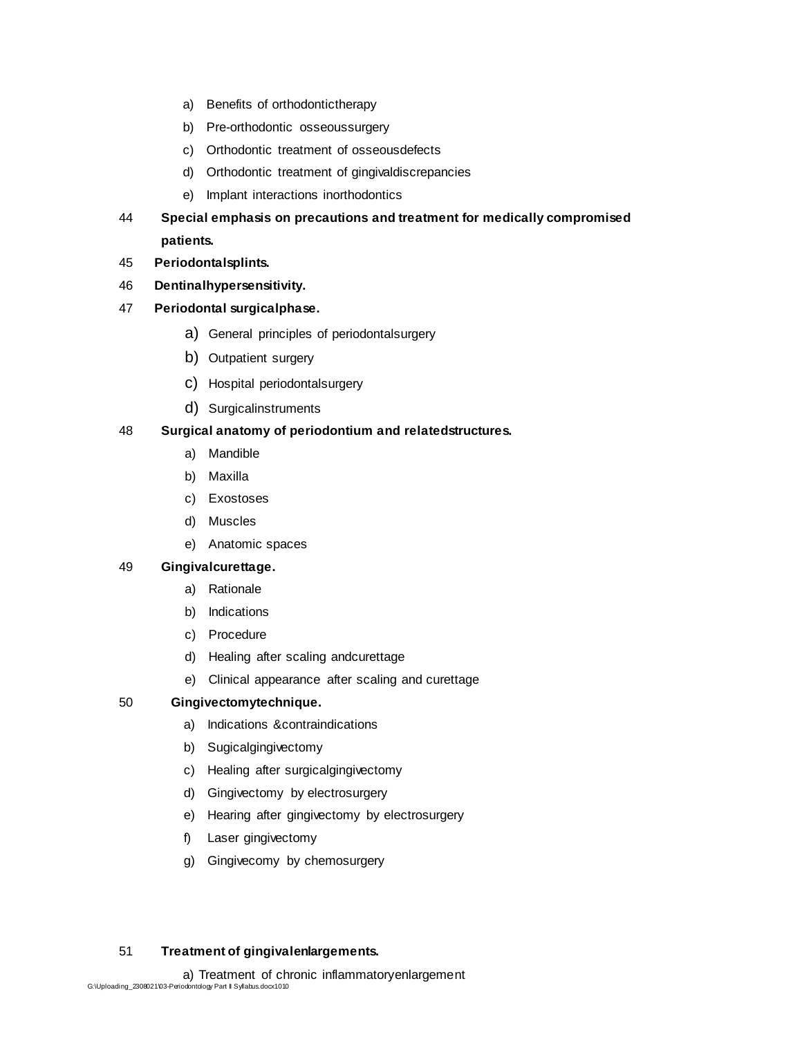- a) Benefits of orthodontictherapy
- b) Pre-orthodontic osseoussurgery
- c) Orthodontic treatment of osseousdefects
- d) Orthodontic treatment of gingivaldiscrepancies
- e) Implant interactions inorthodontics
- 44 **Special emphasis on precautions and treatment for medically compromised patients.**
- 45 **Periodontalsplints.**
- 46 **Dentinalhypersensitivity.**

#### 47 **Periodontal surgicalphase.**

- a) General principles of periodontalsurgery
- b) Outpatient surgery
- c) Hospital periodontalsurgery
- d) Surgicalinstruments

#### 48 **Surgical anatomy of periodontium and relatedstructures.**

- a) Mandible
- b) Maxilla
- c) Exostoses
- d) Muscles
- e) Anatomic spaces

#### 49 **Gingivalcurettage.**

- a) Rationale
- b) Indications
- c) Procedure
- d) Healing after scaling andcurettage
- e) Clinical appearance after scaling and curettage

### 50 **Gingivectomytechnique.**

- a) Indications &contraindications
- b) Sugicalgingivectomy
- c) Healing after surgicalgingivectomy
- d) Gingivectomy by electrosurgery
- e) Hearing after gingivectomy by electrosurgery
- f) Laser gingivectomy
- g) Gingivecomy by chemosurgery

### 51 **Treatment of gingivalenlargements.**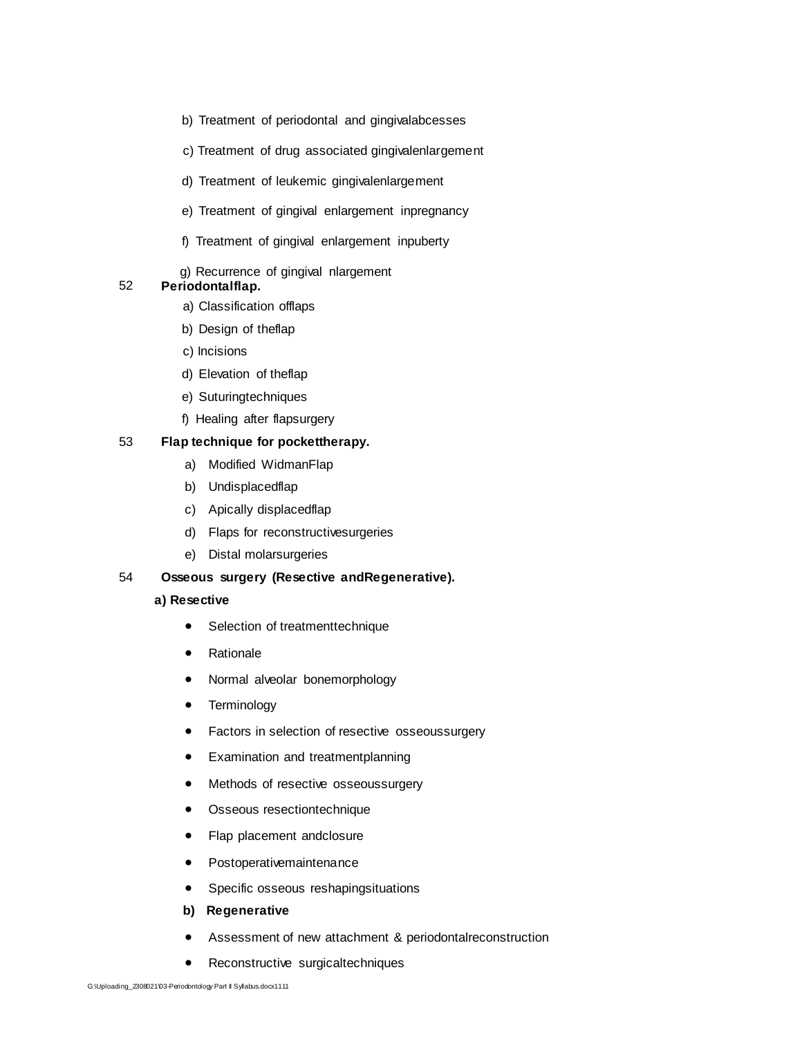- b) Treatment of periodontal and gingivalabcesses
- c) Treatment of drug associated gingivalenlargement
- d) Treatment of leukemic gingivalenlargement
- e) Treatment of gingival enlargement inpregnancy
- f) Treatment of gingival enlargement inpuberty
- g) Recurrence of gingival nlargement

### 52 **Periodontalflap.**

- a) Classification offlaps
- b) Design of theflap
- c) Incisions
- d) Elevation of theflap
- e) Suturingtechniques
- f) Healing after flapsurgery

#### 53 **Flap technique for pockettherapy.**

- a) Modified WidmanFlap
- b) Undisplacedflap
- c) Apically displacedflap
- d) Flaps for reconstructivesurgeries
- e) Distal molarsurgeries

#### 54 **Osseous surgery (Resective andRegenerative).**

#### **a) Resective**

- Selection of treatmenttechnique
- Rationale
- Normal alveolar bonemorphology
- **•** Terminology
- Factors in selection of resective osseoussurgery
- Examination and treatmentplanning
- Methods of resective osseoussurgery
- Osseous resectiontechnique
- Flap placement andclosure
- Postoperativemaintenance
- Specific osseous reshapingsituations
- **b) Regenerative**
- Assessment of new attachment & periodontalreconstruction
- Reconstructive surgicaltechniques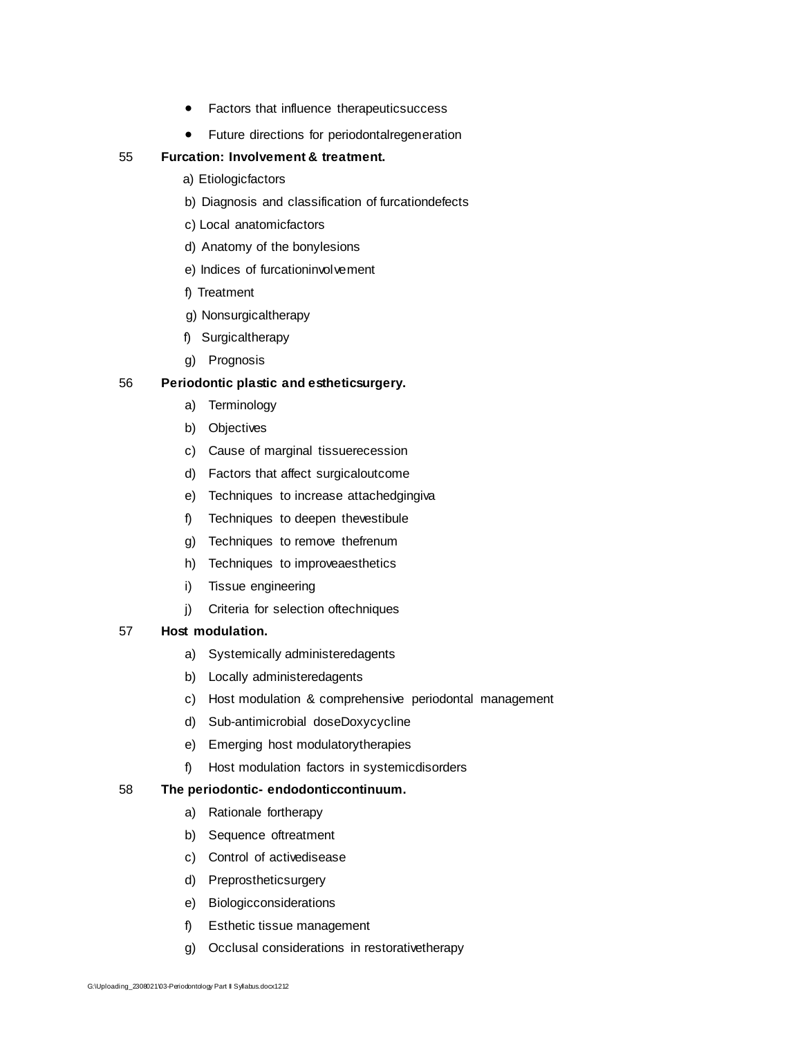- **•** Factors that influence therapeuticsuccess
- Future directions for periodontalregeneration

#### 55 **Furcation: Involvement & treatment.**

- a) Etiologicfactors
- b) Diagnosis and classification of furcationdefects
- c) Local anatomicfactors
- d) Anatomy of the bonylesions
- e) Indices of furcationinvolvement
- f) Treatment
- g) Nonsurgicaltherapy
- f) Surgicaltherapy
- g) Prognosis

#### 56 **Periodontic plastic and estheticsurgery.**

- a) Terminology
- b) Objectives
- c) Cause of marginal tissuerecession
- d) Factors that affect surgicaloutcome
- e) Techniques to increase attachedgingiva
- f) Techniques to deepen thevestibule
- g) Techniques to remove thefrenum
- h) Techniques to improveaesthetics
- i) Tissue engineering
- j) Criteria for selection oftechniques

#### 57 **Host modulation.**

- a) Systemically administeredagents
- b) Locally administeredagents
- c) Host modulation & comprehensive periodontal management
- d) Sub-antimicrobial doseDoxycycline
- e) Emerging host modulatorytherapies
- f) Host modulation factors in systemicdisorders

#### 58 **The periodontic- endodonticcontinuum.**

- a) Rationale fortherapy
- b) Sequence oftreatment
- c) Control of activedisease
- d) Preprostheticsurgery
- e) Biologicconsiderations
- f) Esthetic tissue management
- g) Occlusal considerations in restorativetherapy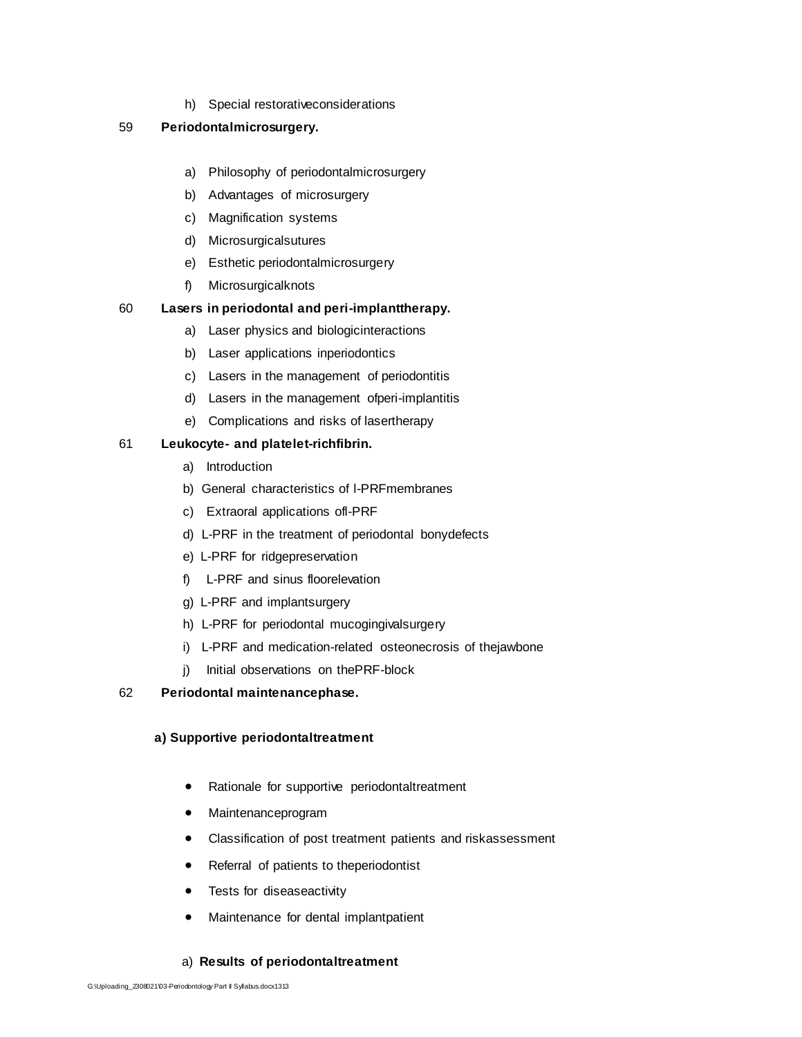h) Special restorativeconsiderations

#### 59 **Periodontalmicrosurgery.**

- a) Philosophy of periodontalmicrosurgery
- b) Advantages of microsurgery
- c) Magnification systems
- d) Microsurgicalsutures
- e) Esthetic periodontalmicrosurgery
- f) Microsurgicalknots

#### 60 **Lasers in periodontal and peri-implanttherapy.**

- a) Laser physics and biologicinteractions
- b) Laser applications inperiodontics
- c) Lasers in the management of periodontitis
- d) Lasers in the management ofperi-implantitis
- e) Complications and risks of lasertherapy

#### 61 **Leukocyte- and platelet-richfibrin.**

- a) Introduction
- b) General characteristics of l-PRFmembranes
- c) Extraoral applications ofl-PRF
- d) L-PRF in the treatment of periodontal bonydefects
- e) L-PRF for ridgepreservation
- f) L-PRF and sinus floorelevation
- g) L-PRF and implantsurgery
- h) L-PRF for periodontal mucogingivalsurgery
- i) L-PRF and medication-related osteonecrosis of thejawbone
- j) Initial observations on thePRF-block

#### 62 **Periodontal maintenancephase.**

#### **a) Supportive periodontaltreatment**

- Rationale for supportive periodontaltreatment
- Maintenanceprogram
- Classification of post treatment patients and riskassessment
- Referral of patients to theperiodontist
- Tests for diseaseactivity
- Maintenance for dental implantpatient

#### a) **Results of periodontaltreatment**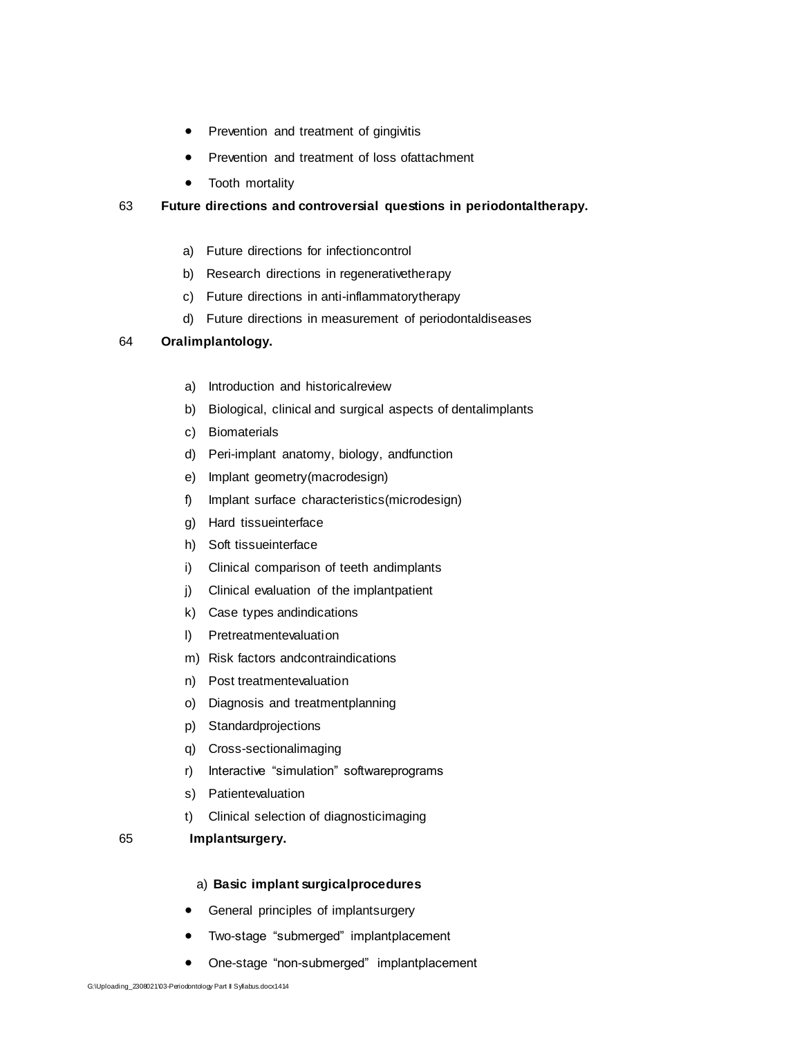- Prevention and treatment of gingivitis
- Prevention and treatment of loss ofattachment
- Tooth mortality

# 63 **Future directions and controversial questions in periodontaltherapy.**

- a) Future directions for infectioncontrol
- b) Research directions in regenerativetherapy
- c) Future directions in anti-inflammatorytherapy
- d) Future directions in measurement of periodontaldiseases

# 64 **Oralimplantology.**

- a) Introduction and historicalreview
- b) Biological, clinical and surgical aspects of dentalimplants
- c) Biomaterials
- d) Peri-implant anatomy, biology, andfunction
- e) Implant geometry(macrodesign)
- f) Implant surface characteristics(microdesign)
- g) Hard tissueinterface
- h) Soft tissueinterface
- i) Clinical comparison of teeth andimplants
- j) Clinical evaluation of the implantpatient
- k) Case types andindications
- l) Pretreatmentevaluation
- m) Risk factors andcontraindications
- n) Post treatmentevaluation
- o) Diagnosis and treatmentplanning
- p) Standardprojections
- q) Cross-sectionalimaging
- r) Interactive "simulation" softwareprograms
- s) Patientevaluation
- t) Clinical selection of diagnosticimaging
- 65 **Implantsurgery.**

# a) **Basic implant surgicalprocedures**

- **•** General principles of implantsurgery
- Two-stage "submerged" implantplacement
- One-stage "non-submerged" implantplacement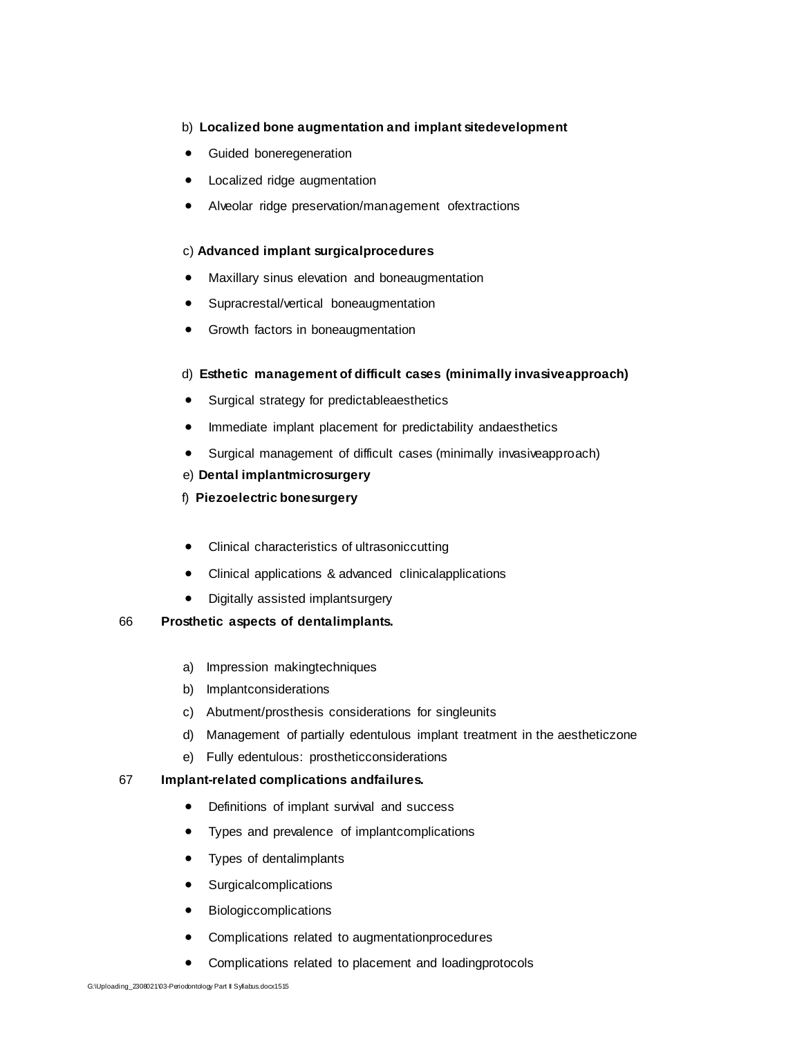#### b) **Localized bone augmentation and implant sitedevelopment**

- **•** Guided boneregeneration
- Localized ridge augmentation
- Alveolar ridge preservation/management ofextractions

#### c) **Advanced implant surgicalprocedures**

- Maxillary sinus elevation and boneaugmentation
- Supracrestal/vertical boneaugmentation
- Growth factors in boneaugmentation

#### d) **Esthetic management of difficult cases (minimally invasiveapproach)**

- Surgical strategy for predictableaesthetics
- Immediate implant placement for predictability and aesthetics
- Surgical management of difficult cases (minimally invasiveapproach)

#### e) **Dental implantmicrosurgery**

- f) **Piezoelectric bonesurgery**
- Clinical characteristics of ultrasoniccutting
- Clinical applications & advanced clinicalapplications
- Digitally assisted implantsurgery

#### 66 **Prosthetic aspects of dentalimplants.**

- a) Impression makingtechniques
- b) Implantconsiderations
- c) Abutment/prosthesis considerations for singleunits
- d) Management of partially edentulous implant treatment in the aestheticzone
- e) Fully edentulous: prostheticconsiderations

#### 67 **Implant-related complications andfailures.**

- Definitions of implant survival and success
- Types and prevalence of implantcomplications
- Types of dentalimplants
- Surgicalcomplications
- Biologiccomplications
- Complications related to augmentationprocedures
- Complications related to placement and loadingprotocols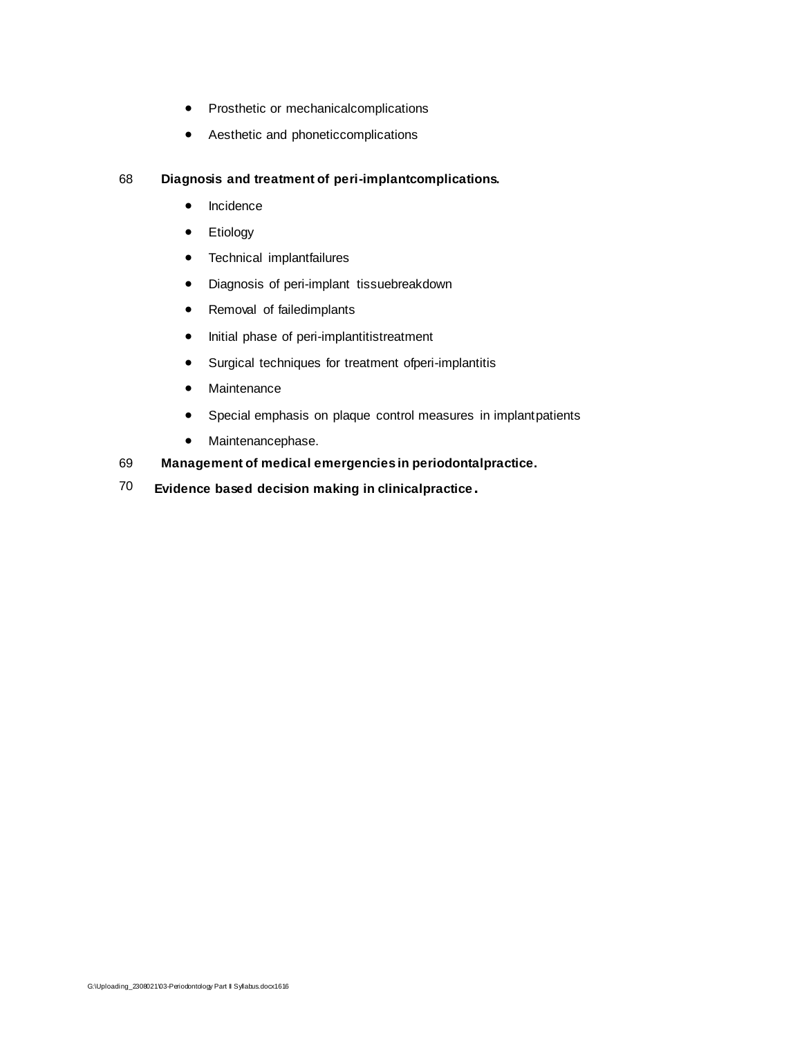- Prosthetic or mechanicalcomplications
- Aesthetic and phoneticcomplications

### 68 **Diagnosis and treatment of peri-implantcomplications.**

- Incidence
- **•** Etiology
- Technical implantfailures
- Diagnosis of peri-implant tissuebreakdown
- Removal of failedimplants
- Initial phase of peri-implantitistreatment
- Surgical techniques for treatment ofperi-implantitis
- Maintenance
- Special emphasis on plaque control measures in implantpatients
- Maintenancephase.
- 69 **Management of medical emergencies in periodontalpractice.**
- 70 **Evidence based decision making in clinicalpractice.**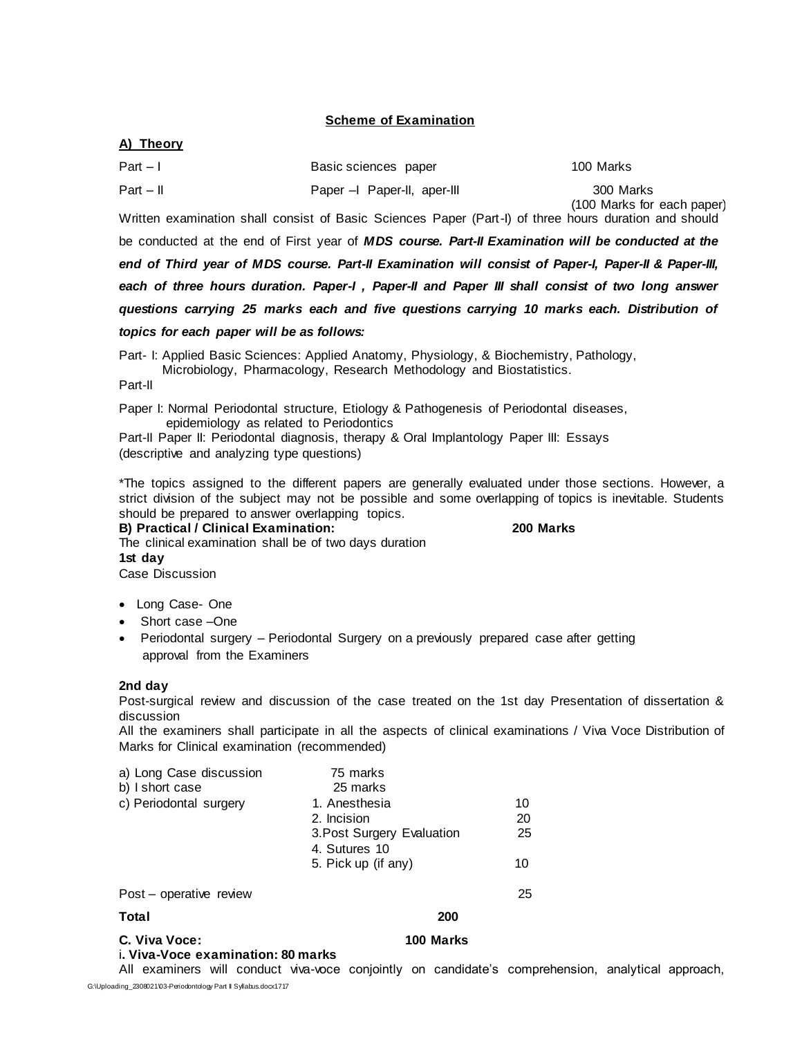#### **Scheme of Examination**

#### **A) Theory**

| $Part - 1$  | Basic sciences paper       | 100 Marks                               |
|-------------|----------------------------|-----------------------------------------|
| $Part - II$ | Paper - Paper-II, aper-III | 300 Marks<br>(100 Marks for each paper) |

Written examination shall consist of Basic Sciences Paper (Part-I) of three hours duration and should be conducted at the end of First year of *MDS course. Part-II Examination will be conducted at the end of Third year of MDS course. Part-II Examination will consist of Paper-I, Paper-II & Paper-III, each of three hours duration. Paper-I , Paper-II and Paper III shall consist of two long answer questions carrying 25 marks each and five questions carrying 10 marks each. Distribution of* 

*topics for each paper will be as follows:*

Part- I: Applied Basic Sciences: Applied Anatomy, Physiology, & Biochemistry, Pathology,

Microbiology, Pharmacology, Research Methodology and Biostatistics.

Part-II

Paper I: Normal Periodontal structure, Etiology & Pathogenesis of Periodontal diseases, epidemiology as related to Periodontics

Part-II Paper II: Periodontal diagnosis, therapy & Oral Implantology Paper III: Essays (descriptive and analyzing type questions)

\*The topics assigned to the different papers are generally evaluated under those sections. However, a strict division of the subject may not be possible and some overlapping of topics is inevitable. Students should be prepared to answer overlapping topics.

#### **B) Practical / Clinical Examination: 200 Marks**

The clinical examination shall be of two days duration **1st day**  Case Discussion

- Long Case- One
- Short case –One
- Periodontal surgery Periodontal Surgery on a previously prepared case after getting approval from the Examiners

#### **2nd day**

Post-surgical review and discussion of the case treated on the 1st day Presentation of dissertation & discussion

All the examiners shall participate in all the aspects of clinical examinations / Viva Voce Distribution of Marks for Clinical examination (recommended)

| a) Long Case discussion<br>b) I short case | 75 marks<br>25 marks       |    |  |
|--------------------------------------------|----------------------------|----|--|
| c) Periodontal surgery                     | 1. Anesthesia              | 10 |  |
|                                            | 2. Incision                | 20 |  |
|                                            | 3. Post Surgery Evaluation | 25 |  |
|                                            | 4. Sutures 10              |    |  |
|                                            | 5. Pick up (if any)        | 10 |  |
|                                            |                            |    |  |
| Post – operative review                    |                            | 25 |  |
| Total                                      | 200                        |    |  |
| C. Viva Voce:                              | 100 Marks                  |    |  |
| i. Viva-Voce examination: 80 marks         |                            |    |  |

G:\Uploading\_2308021\03-Periodontology Part II Syllabus.docx1717 All examiners will conduct viva-voce conjointly on candidate's comprehension, analytical approach,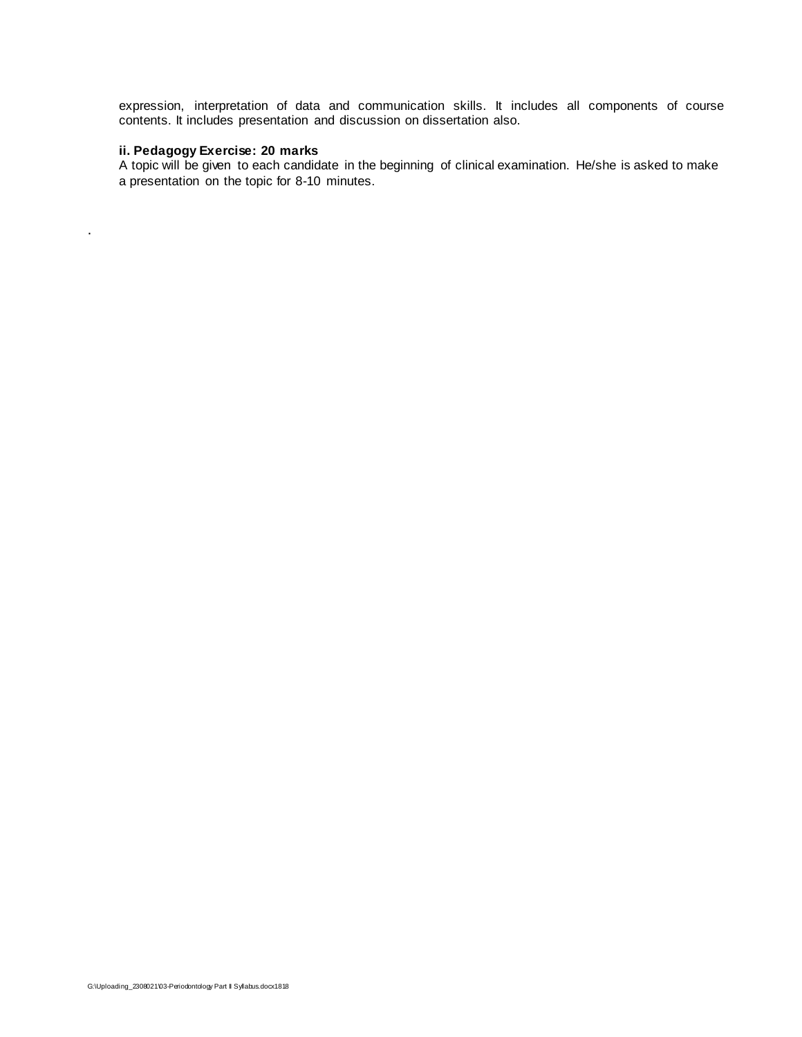expression, interpretation of data and communication skills. It includes all components of course contents. It includes presentation and discussion on dissertation also.

#### **ii. Pedagogy Exercise: 20 marks**

.

A topic will be given to each candidate in the beginning of clinical examination. He/she is asked to make a presentation on the topic for 8-10 minutes.